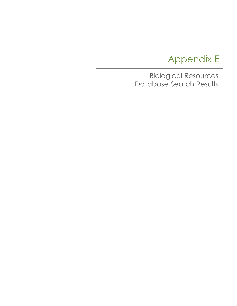# Appendix E

Biological Resources Database Search Results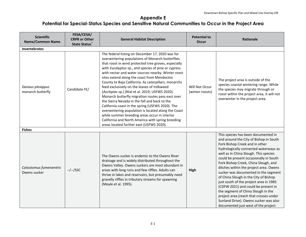| <b>Scientific</b><br><b>Name/Common Name</b> | FESA/CESA/<br><b>CRPR or Other</b><br><b>State Status</b> | <b>General Habitat Description</b>                                                                                                                                                                                                                                                                                                                                                                                                                                                                                                                                                                                                                                                                                                                                                                                                                   | <b>Potential to</b><br>Occur      | <b>Rationale</b>                                                                                                                                                                                                                                                                                                                                                                                                                                                                                                                                                                                                                                                |
|----------------------------------------------|-----------------------------------------------------------|------------------------------------------------------------------------------------------------------------------------------------------------------------------------------------------------------------------------------------------------------------------------------------------------------------------------------------------------------------------------------------------------------------------------------------------------------------------------------------------------------------------------------------------------------------------------------------------------------------------------------------------------------------------------------------------------------------------------------------------------------------------------------------------------------------------------------------------------------|-----------------------------------|-----------------------------------------------------------------------------------------------------------------------------------------------------------------------------------------------------------------------------------------------------------------------------------------------------------------------------------------------------------------------------------------------------------------------------------------------------------------------------------------------------------------------------------------------------------------------------------------------------------------------------------------------------------------|
| <b>Invertebrates</b>                         |                                                           |                                                                                                                                                                                                                                                                                                                                                                                                                                                                                                                                                                                                                                                                                                                                                                                                                                                      |                                   |                                                                                                                                                                                                                                                                                                                                                                                                                                                                                                                                                                                                                                                                 |
| Danaus plexippus<br>monarch butterfly        | Candidate FE/                                             | The federal listing on December 17, 2020 was for<br>overwintering populations of Monarch butterflies<br>that roost in wind protected tree groves, especially<br>with Eucalyptus sp., and species of pine or cypress<br>with nectar and water sources nearby. Winter roost<br>sites extend along the coast from Mendocino<br>County to Baja California. As caterpillars, monarchs<br>feed exclusively on the leaves of milkweed<br>(Asclepias sp.) (Nial et al. 2019; USFWS 2020).<br>Monarch butterfly migration routes pass east over<br>the Sierra Nevada in the fall and back to the<br>California coast in the spring (USFWS 2020). The<br>overwintering population is located along the Coast<br>while summer breeding areas occur in interior<br>California and North America with spring breeding<br>areas located further east (USFWS 2020). | Will Not Occur<br>(winter roosts) | The project area is outside of the<br>species coastal wintering range. While<br>the species may migrate through or<br>roost within the project area, it will not<br>overwinter in the project area.                                                                                                                                                                                                                                                                                                                                                                                                                                                             |
| <b>Fishes</b>                                |                                                           |                                                                                                                                                                                                                                                                                                                                                                                                                                                                                                                                                                                                                                                                                                                                                                                                                                                      |                                   |                                                                                                                                                                                                                                                                                                                                                                                                                                                                                                                                                                                                                                                                 |
| Catostomus fumeiventris<br>Owens sucker      | $-/-/SSC$                                                 | The Owens sucker is endemic to the Owens River<br>drainage and is widely distributed throughout the<br>Owens Valley. Owens suckers are most abundant in<br>areas with long runs and few riffles. Adults can<br>thrive in lakes and reservoirs, but presumably need<br>gravelly riffles in tributary streams for spawning<br>(Moyle et al. 1995).                                                                                                                                                                                                                                                                                                                                                                                                                                                                                                     | High                              | This species has been documented in<br>and around the City of Bishop in South<br>Fork Bishop Creek and in other<br>hydrologically connected waterways as<br>well as in China Slough. This species<br>could be present occasionally in South<br>Fork Bishop Creek, China Slough, and<br>ditches within the project area. Owens<br>sucker was documented in the segment<br>of China Slough in the City of Bishop<br>just south of the project area in 1985<br>(CDFW 2021) and could be present in<br>the segment of China Slough in the<br>project area (reach that crosses under<br>Sunland Drive). Owens sucker was also<br>documented just west of the project |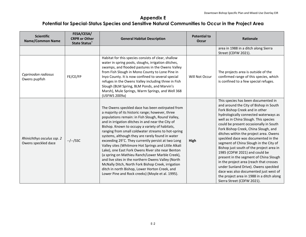| <b>Scientific</b><br><b>Name/Common Name</b>      | FESA/CESA/<br><b>CRPR or Other</b><br><b>State Status</b> | <b>General Habitat Description</b>                                                                                                                                                                                                                                                                                                                                                                                                                                                                                                                                                                                                                                                                                                                                                                                 | <b>Potential to</b><br><b>Occur</b> | <b>Rationale</b>                                                                                                                                                                                                                                                                                                                                                                                                                                                                                                                                                                                                                                                                                                                             |
|---------------------------------------------------|-----------------------------------------------------------|--------------------------------------------------------------------------------------------------------------------------------------------------------------------------------------------------------------------------------------------------------------------------------------------------------------------------------------------------------------------------------------------------------------------------------------------------------------------------------------------------------------------------------------------------------------------------------------------------------------------------------------------------------------------------------------------------------------------------------------------------------------------------------------------------------------------|-------------------------------------|----------------------------------------------------------------------------------------------------------------------------------------------------------------------------------------------------------------------------------------------------------------------------------------------------------------------------------------------------------------------------------------------------------------------------------------------------------------------------------------------------------------------------------------------------------------------------------------------------------------------------------------------------------------------------------------------------------------------------------------------|
|                                                   |                                                           |                                                                                                                                                                                                                                                                                                                                                                                                                                                                                                                                                                                                                                                                                                                                                                                                                    |                                     | area in 1988 in a ditch along Sierra<br>Street (CDFW 2021).                                                                                                                                                                                                                                                                                                                                                                                                                                                                                                                                                                                                                                                                                  |
| Cyprinodon radiosus<br>Owens pupfish              | FE/CE/FP                                                  | Habitat for this species consists of clear, shallow<br>water in spring pools, sloughs, irrigation ditches,<br>swamps, and flooded pastures in the Owens Valley<br>from Fish Slough in Mono County to Lone Pine in<br>Inyo County. It is now confined to several special<br>refuges in the Owens Valley including three in Fish<br>Slough (BLM Spring, BLM Ponds, and Marvin's<br>Marsh), Mule Springs, Warm Springs, and Well 368<br>(USFWS 2009a)                                                                                                                                                                                                                                                                                                                                                                 | Will Not Occur                      | The projects area is outside of the<br>confirmed range of this species, which<br>is confined to a few special refuges.                                                                                                                                                                                                                                                                                                                                                                                                                                                                                                                                                                                                                       |
| Rhinichthys osculus ssp. 2<br>Owens speckled dace | $-/-/SSC$                                                 | The Owens speckled dace has been extirpated from<br>a majority of its historic range; however, three<br>populations remain: in Fish Slough, Round Valley,<br>and in irrigation ditches in and near the City of<br>Bishop. Known to occupy a variety of habitats,<br>ranging from small coldwater streams to hot-spring<br>systems, although they are rarely found in water<br>exceeding 29°C. They currently persist at two Long<br>Valley sites (Whitmore Hot Springs and Little Alkali<br>Lake), one East Fork Owens River site near Benton<br>(a spring on Mathieu Ranch/Lower Marble Creek),<br>and live sites in the northern Owens Valley (North<br>McNally Ditch, North Fork Bishop Creek, irrigation<br>ditch in north Bishop, Lower Horton Creek, and<br>Lower Pine and Rock creeks) (Moyle et al. 1995). | High                                | This species has been documented in<br>and around the City of Bishop in South<br>Fork Bishop Creek and in other<br>hydrologically connected waterways as<br>well as in China Slough. This species<br>could be present occasionally in South<br>Fork Bishop Creek, China Slough, and<br>ditches within the project area. Owens<br>speckled dace was documented in the<br>segment of China Slough in the City of<br>Bishop just south of the project area in<br>1985 (CDFW 2021) and could be<br>present in the segment of China Slough<br>in the project area (reach that crosses<br>under Sunland Drive). Owens speckled<br>dace was also documented just west of<br>the project area in 1988 in a ditch along<br>Sierra Street (CDFW 2021). |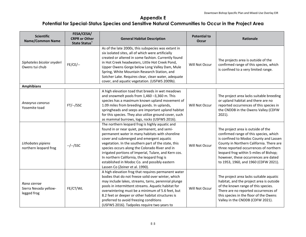| <b>Scientific</b><br><b>Name/Common Name</b>         | FESA/CESA/<br><b>CRPR or Other</b><br><b>State Status</b> | <b>General Habitat Description</b>                                                                                                                                                                                                                                                                                                                                                                                                                                                                  | <b>Potential to</b><br><b>Occur</b> | Rationale                                                                                                                                                                                                                                                                                                                              |
|------------------------------------------------------|-----------------------------------------------------------|-----------------------------------------------------------------------------------------------------------------------------------------------------------------------------------------------------------------------------------------------------------------------------------------------------------------------------------------------------------------------------------------------------------------------------------------------------------------------------------------------------|-------------------------------------|----------------------------------------------------------------------------------------------------------------------------------------------------------------------------------------------------------------------------------------------------------------------------------------------------------------------------------------|
| Siphateles bicolor snyderi<br>Owens tui chub         | $FE/CE$ /--                                               | As of the late 2000s, this subspecies was extant in<br>six isolated sites, all of which were artificially<br>created or altered in some fashion. Currently found<br>in Hot Creek headwaters, Little Hot Creek Pond,<br>Upper Owens Gorge below Long Valley Dam, Mule<br>Spring, White Mountain Research Station, and<br>Sotcher Lake. Requires clear, clean water, adequate<br>cover, and aquatic vegetation. (USFWS 2009b).                                                                        | Will Not Occur                      | The projects area is outside of the<br>confirmed range of this species, which<br>is confined to a very limited range.                                                                                                                                                                                                                  |
| <b>Amphibians</b>                                    |                                                           |                                                                                                                                                                                                                                                                                                                                                                                                                                                                                                     |                                     |                                                                                                                                                                                                                                                                                                                                        |
| Anaxyrus canorus<br>Yosemite toad                    | $FT/-$ /SSC                                               | A high elevation toad that breeds in wet meadows<br>and snowmelt pools from 1,460 -3,360 m. This<br>species has a maximum known upland movement of<br>1.09 miles from breeding ponds. In uplands,<br>springheads and seeps are important upland habitat<br>for this species. They also utilize ground cover, such<br>as mammal burrows, logs, rocks (USFWS 2016).                                                                                                                                   | Will Not Occur                      | The project area lacks suitable breeding<br>or upland habitat and there are no<br>reported occurrences of this species in<br>the CNDDB in the Owens Valley (CDFW<br>$2021$ ).                                                                                                                                                          |
| Lithobates pipiens<br>northern leopard frog          | --/--/SSC                                                 | The northern leopard frog is highly aquatic and<br>found in or near quiet, permanent, and semi-<br>permanent water in many habitats with shoreline<br>cover and submerged and emergent aquatic<br>vegetation. In the southern part of the state, this<br>species occurs along the Colorado River and in<br>irrigated portions of Imperial, Tulare, and Kern cos.<br>In northern California, the leopard frog is<br>established in Modoc Co. and possibly eastern<br>Lassen Co (Zeiner et al. 1990). | Will Not Occur                      | The project area is outside of the<br>confirmed range of this species, which<br>is confined to Modoc County and Lassen<br>County in Northern California. There are<br>three reported occurrences of northern<br>leopard frog within 5-miles of Bishop;<br>however, these occurrences are dated<br>to 1953, 1960, and 1960 (CDFW 2021). |
| Rana sierrae<br>Sierra Nevada yellow-<br>legged frog | FE/CT/WL                                                  | A high elevation frog that requires permanent water<br>bodies that do not freeze solid over winter, which<br>may include lakes, streams, tarns, perennial plunge<br>pools in intermittent streams. Aquatic habitat for<br>overwintering must be a minimum of 5.6 feet, but<br>8.2 feet or deeper or other habitat structures is<br>preferred to avoid freezing conditions<br>(USFWS 2016). Tadpoles require two years to                                                                            | Will Not Occur                      | The project area lacks suitable aquatic<br>habitat, and the project area is outside<br>of the known range of this species.<br>There are no reported occurrences of<br>this species in the floor of the Owens<br>Valley in the CNDDB (CDFW 2021).                                                                                       |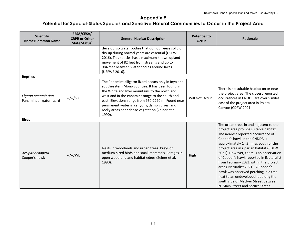| <b>Scientific</b><br><b>Name/Common Name</b>     | FESA/CESA/<br><b>CRPR or Other</b><br><b>State Status</b> * | <b>General Habitat Description</b>                                                                                                                                                                                                                                                                                                                                                 | <b>Potential to</b><br><b>Occur</b> | <b>Rationale</b>                                                                                                                                                                                                                                                                                                                                                                                                                                                                                                                                                               |
|--------------------------------------------------|-------------------------------------------------------------|------------------------------------------------------------------------------------------------------------------------------------------------------------------------------------------------------------------------------------------------------------------------------------------------------------------------------------------------------------------------------------|-------------------------------------|--------------------------------------------------------------------------------------------------------------------------------------------------------------------------------------------------------------------------------------------------------------------------------------------------------------------------------------------------------------------------------------------------------------------------------------------------------------------------------------------------------------------------------------------------------------------------------|
|                                                  |                                                             | develop, so water bodies that do not freeze solid or<br>dry up during normal years are essential (USFWS<br>2016). This species has a maximum known upland<br>movement of 82 feet from streams and up to<br>984 feet between water bodies around lakes<br>(USFWS 2016).                                                                                                             |                                     |                                                                                                                                                                                                                                                                                                                                                                                                                                                                                                                                                                                |
| <b>Reptiles</b>                                  |                                                             |                                                                                                                                                                                                                                                                                                                                                                                    |                                     |                                                                                                                                                                                                                                                                                                                                                                                                                                                                                                                                                                                |
| Elgaria panamintina<br>Panamint alligator lizard | --/--/SSC                                                   | The Panamint alligator lizard occurs only in Inyo and<br>southeastern Mono counties. It has been found in<br>the White and Inyo mountains to the north and<br>west and in the Panamint range to the south and<br>east. Elevations range from 960-2290 m. Found near<br>permanent water in canyons, damp gullies, and<br>rocky areas near dense vegetation (Zeiner et al.<br>1990). | Will Not Occur                      | There is no suitable habitat on or near<br>the project area. The closest reported<br>occurrences in CNDDB are over 5 miles<br>east of the project area in Poleta<br>Canyon (CDFW 2021).                                                                                                                                                                                                                                                                                                                                                                                        |
| <b>Birds</b>                                     |                                                             |                                                                                                                                                                                                                                                                                                                                                                                    |                                     |                                                                                                                                                                                                                                                                                                                                                                                                                                                                                                                                                                                |
| Accipiter cooperii<br>Cooper's hawk              | --/--/WL                                                    | Nests in woodlands and urban trees. Preys on<br>medium-sized birds and small mammals. Forages in<br>open woodland and habitat edges (Zeiner et al.<br>1990).                                                                                                                                                                                                                       | High                                | The urban trees in and adjacent to the<br>project area provide suitable habitat.<br>The nearest reported occurrence of<br>Cooper's hawk in the CNDDB is<br>approximately 14.3 miles south of the<br>project area in riparian habitat (CDFW<br>2021). However, there is an observation<br>of Cooper's hawk reported in iNaturalist<br>from February 2021 within the project<br>area (iNaturalist 2021). A Cooper's<br>hawk was observed perching in a tree<br>next to an undeveloped lot along the<br>south side of MacIver Street between<br>N. Main Street and Spruce Street. |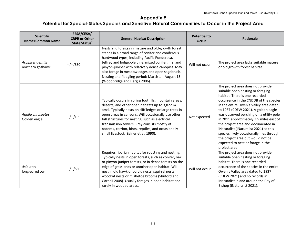| <b>Scientific</b><br><b>Name/Common Name</b> | FESA/CESA/<br><b>CRPR or Other</b><br><b>State Status</b> * | <b>General Habitat Description</b>                                                                                                                                                                                                                                                                                                                                                                                           | <b>Potential to</b><br><b>Occur</b> | <b>Rationale</b>                                                                                                                                                                                                                                                                                                                                                                                                                                                                                                                                  |
|----------------------------------------------|-------------------------------------------------------------|------------------------------------------------------------------------------------------------------------------------------------------------------------------------------------------------------------------------------------------------------------------------------------------------------------------------------------------------------------------------------------------------------------------------------|-------------------------------------|---------------------------------------------------------------------------------------------------------------------------------------------------------------------------------------------------------------------------------------------------------------------------------------------------------------------------------------------------------------------------------------------------------------------------------------------------------------------------------------------------------------------------------------------------|
| Accipiter gentilis<br>northern goshawk       | --/--/SSC                                                   | Nests and forages in mature and old-growth forest<br>stands in a broad range of conifer and coniferous<br>hardwood types, including Pacific Ponderosa,<br>Jeffrey and lodgepole pine, mixed conifer, firs, and<br>pinyon-juniper with relatively dense canopies. May<br>also forage in meadow edges and open sagebrush.<br>Nesting and fledgling period: March 1 - August 15<br>(Woodbridge and Hargis 2006).                | Will not occur                      | The project area lacks suitable mature<br>or old growth forest habitat.                                                                                                                                                                                                                                                                                                                                                                                                                                                                           |
| Aquila chrysaetos<br>Golden eagle            | $-/-/FP$                                                    | Typically occurs in rolling foothills, mountain areas,<br>deserts, and other open habitats up to 3,822 m<br>amsl. Typically nests on cliff ledges or large trees in<br>open areas in canyons. Will occasionally use other<br>tall structures for nesting, such as electrical<br>transmission towers. Prey consists mostly of<br>rodents, carrion, birds, reptiles, and occasionally<br>small livestock (Zeiner et al. 1990). | Not expected                        | The project area does not provide<br>suitable open nesting or foraging<br>habitat. There is one recorded<br>occurrence in the CNDDB of the species<br>in the entire Owen's Valley area dated<br>to 1987 (CDFW 2021). A golden eagle<br>was observed perching on a utility pole<br>in 2011 approximately 3.5 miles east of<br>the project area and documented in<br>iNaturalist (iNaturalist 2021) so this<br>species likely occasionally flies through<br>the project area but would not be<br>expected to nest or forage in the<br>project area. |
| Asio otus<br>long-eared owl                  | --/--/SSC                                                   | Requires riparian habitat for roosting and nesting.<br>Typically nests in open forests, such as conifer, oak<br>or pinyon-juniper forests, or in dense forests on the<br>edge of grasslands or another open habitat. Will<br>nest in old hawk or corvid nests, squirrel nests,<br>woodrat nests or mistletoe brooms (Shuford and<br>Gardali 2008). Usually forages in open habitat and<br>rarely in wooded areas.            | Will not occur                      | The project area does not provide<br>suitable open nesting or foraging<br>habitat. There is one recorded<br>occurrence of the species in the entire<br>Owen's Valley area dated to 1937<br>(CDFW 2021) and no records in<br>iNaturalist in and around the City of<br>Bishop (iNaturalist 2021).                                                                                                                                                                                                                                                   |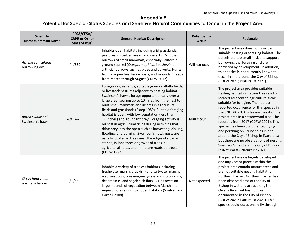| <b>Scientific</b><br><b>Name/Common Name</b> | FESA/CESA/<br><b>CRPR or Other</b><br><b>State Status</b> * | <b>General Habitat Description</b>                                                                                                                                                                                                                                                                                                                                                                                                                                                                                                                                                                                                                                                                                                                                                              | <b>Potential to</b><br><b>Occur</b> | <b>Rationale</b>                                                                                                                                                                                                                                                                                                                                                                                                                                                                                                                                                                             |
|----------------------------------------------|-------------------------------------------------------------|-------------------------------------------------------------------------------------------------------------------------------------------------------------------------------------------------------------------------------------------------------------------------------------------------------------------------------------------------------------------------------------------------------------------------------------------------------------------------------------------------------------------------------------------------------------------------------------------------------------------------------------------------------------------------------------------------------------------------------------------------------------------------------------------------|-------------------------------------|----------------------------------------------------------------------------------------------------------------------------------------------------------------------------------------------------------------------------------------------------------------------------------------------------------------------------------------------------------------------------------------------------------------------------------------------------------------------------------------------------------------------------------------------------------------------------------------------|
| Athene cunicularia<br>burrowing owl          | $-/-/SSC$                                                   | Inhabits open habitats including arid grasslands,<br>pastures, disturbed areas, and deserts. Occupies<br>burrows of small mammals, especially California<br>ground squirrel (Otospermophilus beecheyi), or<br>artificial burrows such as pipes and culverts. Hunts<br>from low perches, fence posts, and mounds. Breeds<br>from March through August (CDFW 2012).                                                                                                                                                                                                                                                                                                                                                                                                                               | Will not occur                      | The project area does not provide<br>suitable nesting or foraging habitat. The<br>parcels are too small in size to support<br>burrowing owl foraging and are<br>bordered by development. In addition,<br>this species is not currently known to<br>occur in and around the City of Bishop<br>(CDFW 2021; iNaturalist 2021).                                                                                                                                                                                                                                                                  |
| Buteo swainsoni<br>Swainson's hawk           | $-$ /CT/ $-$                                                | Forages in grasslands, suitable grain or alfalfa fields,<br>or livestock pastures adjacent to nesting habitat.<br>Swainson's hawks forage opportunistically over a<br>large area, soaring up to 10 miles from the nest to<br>hunt small mammals and insects in agricultural<br>fields and grasslands (Estep 1989). Suitable foraging<br>habitat is open, with low vegetation (less than<br>12 inches) and abundant prey. Foraging activity is<br>highest in agricultural fields during activities that<br>drive prey into the open such as harvesting, disking,<br>flooding, and burning. Swainson's hawk nests are<br>usually located in trees near the edges of riparian<br>stands, in lone trees or groves of trees in<br>agricultural fields, and in mature roadside trees.<br>(CDFW 1994). | <b>May Occur</b>                    | The project area provides suitable<br>nesting habitat in mature trees and is<br>located adjacent to agricultural fields<br>suitable for foraging. The nearest<br>reported occurrence for this species in<br>the CNDDB is 3.3 miles northeast of the<br>project area in a cottonwood tree. The<br>record is from 2017 (CDFW 2021). This<br>species has been documented flying<br>and perching on utility poles in and<br>around the City of Bishop in iNaturalist<br>but there are no observations of nesting<br>Swainson's hawks in the City of Bishop<br>in iNaturalist (iNaturalist 2021). |
| Circus hudsonius<br>northern harrier         | --/--/SSC                                                   | Inhabits a variety of treeless habitats including<br>freshwater marsh, brackish- and saltwater marsh,<br>wet meadows, lake margins, grasslands, croplands,<br>desert sinks, and sagebrush flats. Builds nests on<br>large mounds of vegetation between March and<br>August. Forages in most open habitats (Shuford and<br>Gardali 2008).                                                                                                                                                                                                                                                                                                                                                                                                                                                        | Not expected                        | The project area is largely developed<br>and any vacant parcels within the<br>project area contain mature trees and<br>are not suitable nesting habitat for<br>northern harrier. Northern harrier has<br>been observed east of the City of<br>Bishop in wetland areas along the<br>Owens River but has not been<br>documented in the City of Bishop<br>(CDFW 2021; iNaturalist 2021). This<br>species could occasionally fly through                                                                                                                                                         |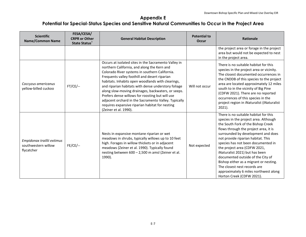| <b>Scientific</b><br><b>Name/Common Name</b>                    | FESA/CESA/<br><b>CRPR or Other</b><br><b>State Status</b> | <b>General Habitat Description</b>                                                                                                                                                                                                                                                                                                                                                                                                                                                                                                                              | <b>Potential to</b><br><b>Occur</b> | <b>Rationale</b>                                                                                                                                                                                                                                                                                                                                                                                                                                                                                                                       |
|-----------------------------------------------------------------|-----------------------------------------------------------|-----------------------------------------------------------------------------------------------------------------------------------------------------------------------------------------------------------------------------------------------------------------------------------------------------------------------------------------------------------------------------------------------------------------------------------------------------------------------------------------------------------------------------------------------------------------|-------------------------------------|----------------------------------------------------------------------------------------------------------------------------------------------------------------------------------------------------------------------------------------------------------------------------------------------------------------------------------------------------------------------------------------------------------------------------------------------------------------------------------------------------------------------------------------|
|                                                                 |                                                           |                                                                                                                                                                                                                                                                                                                                                                                                                                                                                                                                                                 |                                     | the project area or forage in the project<br>area but would not be expected to nest<br>in the project area.                                                                                                                                                                                                                                                                                                                                                                                                                            |
| Coccyzus americanus<br>yellow-billed cuckoo                     | $FT/CE$ /--                                               | Occurs at isolated sites in the Sacramento Valley in<br>northern California, and along the Kern and<br>Colorado River systems in southern California.<br>Frequents valley foothill and desert riparian<br>habitats. Inhabits open woodlands with clearings,<br>and riparian habitats with dense understory foliage<br>along slow-moving drainages, backwaters, or seeps.<br>Prefers dense willows for roosting but will use<br>adjacent orchard in the Sacramento Valley. Typically<br>requires expansive riparian habitat for nesting<br>(Zeiner et al. 1990). | Will not occur                      | There is no suitable habitat for this<br>species in the project area or vicinity.<br>The closest documented occurrences in<br>the CNDDB of this species to the project<br>area are located approximately 12 miles<br>south to in the vicinity of Big Pine<br>(CDFW 2021). There are no reported<br>occurrences of this species in the<br>project region in iNaturalist (iNaturalist<br>$2021$ ).                                                                                                                                       |
| Empidonax traillii extimus<br>southwestern willow<br>flycatcher | $FE/CE$ /--                                               | Nests in expansive montane riparian or wet<br>meadows in shrubs, typically willows up to 10 feet<br>high. Forages in willow thickets or in adjacent<br>meadows (Zeiner et al. 1990). Typically found<br>nesting between 600 - 2,500 m amsl (Zeiner et al.<br>1990).                                                                                                                                                                                                                                                                                             | Not expected                        | There is no suitable habitat for this<br>species in the project area. Although<br>the South Fork of the Bishop Creek<br>flows through the project area, it is<br>surrounded by development and does<br>not provide riparian habitat. This<br>species has not been documented in<br>the project area (CDFW 2021,<br>iNaturalist 2021) but has been<br>documented outside of the City of<br>Bishop either as a migrant or nesting.<br>The closest nest records are<br>approximately 6 miles northwest along<br>Horton Creek (CDFW 2021). |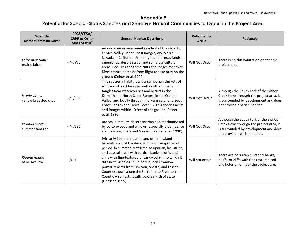| <b>Scientific</b><br><b>Name/Common Name</b> | FESA/CESA/<br><b>CRPR or Other</b><br><b>State Status</b> | <b>General Habitat Description</b>                                                                                                                                                                                                                                                                                                                                                                                                                                                                                  | <b>Potential to</b><br><b>Occur</b> | <b>Rationale</b>                                                                                                                                            |
|----------------------------------------------|-----------------------------------------------------------|---------------------------------------------------------------------------------------------------------------------------------------------------------------------------------------------------------------------------------------------------------------------------------------------------------------------------------------------------------------------------------------------------------------------------------------------------------------------------------------------------------------------|-------------------------------------|-------------------------------------------------------------------------------------------------------------------------------------------------------------|
| <b>Falco mexicanus</b><br>prairie falcon     | --/--/WL                                                  | An uncommon permanent resident of the deserts,<br>Central Valley, inner Coast Ranges, and Sierra<br>Nevada in California. Primarily found in grasslands,<br>rangelands, desert scrub, and some agricultural<br>areas. Requires sheltered cliffs and ledges for cover.<br>Dives from a perch or from flight to take prey on the<br>ground (Zeiner et al. 1990).                                                                                                                                                      | Will Not Occur                      | There is no cliff habitat on or near the<br>project area.                                                                                                   |
| Icteria virens<br>yellow-breasted chat       | --/--/SSC                                                 | This species inhabits low dense riparian thickets of<br>willow and blackberry as well as other brushy<br>tangles near watercourses and occurs in the<br>Klamath and North Coast Ranges, in the Central<br>Valley, and locally through the Peninsular and South<br>Coast Ranges and Sierra Foothills. This species nests<br>and forages within 10 feet of the ground (Zeiner<br>et al. 1990).                                                                                                                        | Will Not Occur                      | Although the South Fork of the Bishop<br>Creek flows through the project area, it<br>is surrounded by development and does<br>not provide riparian habitat. |
| Piranga rubra<br>summer tanager              | --/--/SSC                                                 | Breeds in mature, desert riparian habitat dominated<br>by cottonwoods and willows, especially older, dense<br>stands along rivers and Streams (Zeiner et al. 1990).                                                                                                                                                                                                                                                                                                                                                 | Will Not Occur                      | Although the South Fork of the Bishop<br>Creek flows through the project area, it<br>is surrounded by development and does<br>not provide riparian habitat. |
| Riparia riparia<br>bank swallow              | $-$ /CT/ $-$                                              | Primarily inhabits riparian and other lowland<br>habitats west of the deserts during the spring-fall<br>period. In summer, restricted to riparian, lacustrine,<br>and coastal areas with vertical banks, bluffs, and<br>cliffs with fine-textured or sandy soils, into which it<br>digs nesting holes. In California, bank swallow<br>primarily nests from Siskiyou, Shasta, and Lassen<br>Counties south along the Sacramento River to Yolo<br>County. Also nests locally across much of state<br>(Garrison 1999). | Will not occur                      | There are no suitable vertical banks,<br>bluffs, or cliffs with fine textured soil<br>and holes on or near the project area.                                |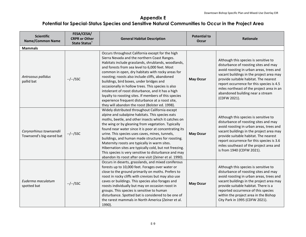| <b>Scientific</b><br><b>Name/Common Name</b>        | FESA/CESA/<br><b>CRPR or Other</b><br><b>State Status</b> * | <b>General Habitat Description</b>                                                                                                                                                                                                                                                                                                                                                                                                                                                                                                                                                                                                        | <b>Potential to</b><br><b>Occur</b> | <b>Rationale</b>                                                                                                                                                                                                                                                                                                                                              |
|-----------------------------------------------------|-------------------------------------------------------------|-------------------------------------------------------------------------------------------------------------------------------------------------------------------------------------------------------------------------------------------------------------------------------------------------------------------------------------------------------------------------------------------------------------------------------------------------------------------------------------------------------------------------------------------------------------------------------------------------------------------------------------------|-------------------------------------|---------------------------------------------------------------------------------------------------------------------------------------------------------------------------------------------------------------------------------------------------------------------------------------------------------------------------------------------------------------|
| <b>Mammals</b>                                      |                                                             |                                                                                                                                                                                                                                                                                                                                                                                                                                                                                                                                                                                                                                           |                                     |                                                                                                                                                                                                                                                                                                                                                               |
| Antrozous pallidus<br>pallid bat                    | $-/-$ /SSC                                                  | Occurs throughout California except for the high<br>Sierra Nevada and the northern Coast Ranges.<br>Habitats include grasslands, shrublands, woodlands,<br>and forests from sea level to 6,000 feet. Most<br>common in open, dry habitats with rocky areas for<br>roosting; roosts also include cliffs, abandoned<br>buildings, bird boxes, under bridges and<br>occasionally in hollow trees. This species is also<br>intolerant of roost disturbance, and it has a high<br>loyalty to roosting sites. If members of this species<br>experience frequent disturbance at a roost site,<br>they will abandon the roost (Bolster ed. 1998). | <b>May Occur</b>                    | Although this species is sensitive to<br>disturbance of roosting sites and may<br>avoid roosting in urban areas, trees and<br>vacant buildings in the project area may<br>provide suitable habitat. The nearest<br>report occurrence for this species is 4.5<br>miles northeast of the project area in an<br>abandoned building near a stream<br>(CDFW 2021). |
| Corynorhinus townsendii<br>Townsend's big-eared bat | $-/-$ /SSC                                                  | Widely distributed throughout California except<br>alpine and subalpine habitats. This species eats<br>moths, beetle, and other insects which it catches on<br>the wing or by gleaning from vegetation. Typically<br>found near water since it is poor at concentrating its<br>urine. This species uses caves, mines, tunnels,<br>buildings, and human made structures for roosting.<br>Maternity roosts are typically in warm sites.<br>Hibernation sites are typically cold, but not freezing.<br>This species is very sensitive to disturbance and may<br>abandon its roost after one visit (Zeiner et al. 1990).                      | <b>May Occur</b>                    | Although this species is sensitive to<br>disturbance of roosting sites and may<br>avoid roosting in urban areas, trees and<br>vacant buildings in the project area may<br>provide suitable habitat. The nearest<br>report occurrence for this species is 3.6<br>miles southeast of the project area and<br>is from 1940 (CDFW 2021).                          |
| Euderma maculatum<br>spotted bat                    | $-/-/SSC$                                                   | Occurs in deserts, grasslands, and mixed coniferous<br>forests up to 10,000 feet. Forages over water or<br>close to the ground primarily on moths. Prefers to<br>roost in rocky cliffs with crevices but may also use<br>caves or buildings. This species also forages and<br>roosts individually but may on occasion roost in<br>groups. This species is sensitive to human<br>disturbance. Spotted bat is considered to be one of<br>the rarest mammals in North America (Zeiner et al.<br>1990).                                                                                                                                       | <b>May Occur</b>                    | Although this species is sensitive to<br>disturbance of roosting sites and may<br>avoid roosting in urban areas, trees and<br>vacant buildings in the project area may<br>provide suitable habitat. There is a<br>reported occurrence of this species<br>within the project area in the Bishop<br>City Park in 1995 (CDFW 2021).                              |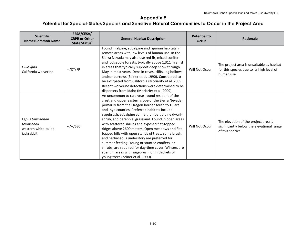| <b>Scientific</b><br><b>Name/Common Name</b>                         | FESA/CESA/<br><b>CRPR or Other</b><br><b>State Status</b> | <b>General Habitat Description</b>                                                                                                                                                                                                                                                                                                                                                                                                                                                                                                                                                                                                                                                                                                     | <b>Potential to</b><br><b>Occur</b> | <b>Rationale</b>                                                                                      |
|----------------------------------------------------------------------|-----------------------------------------------------------|----------------------------------------------------------------------------------------------------------------------------------------------------------------------------------------------------------------------------------------------------------------------------------------------------------------------------------------------------------------------------------------------------------------------------------------------------------------------------------------------------------------------------------------------------------------------------------------------------------------------------------------------------------------------------------------------------------------------------------------|-------------------------------------|-------------------------------------------------------------------------------------------------------|
| Gulo gulo<br>California wolverine                                    | $-$ /CT/FP                                                | Found in alpine, subalpine and riparian habitats in<br>remote areas with low levels of human use. In the<br>Sierra Nevada may also use red fir, mixed conifer<br>and lodgepole forests, typically above 1,311 m amsl<br>in areas that typically support deep snow through<br>May in most years. Dens in caves, cliffs, log hollows<br>and/or burrows (Zeiner et al. 1990). Considered to<br>be extirpated from California (Moriarity et al. 2009).<br>Recent wolverine detections were determined to be<br>dispersers from Idaho (Moriarity et al. 2009).                                                                                                                                                                              | Will Not Occur                      | The project area is unsuitable as habitat<br>for this species due to its high level of<br>human use.  |
| Lepus townsendii<br>townsendii<br>western white-tailed<br>jackrabbit | --/--/SSC                                                 | An uncommon to rare year-round resident of the<br>crest and upper eastern slope of the Sierra Nevada,<br>primarily from the Oregon border south to Tulare<br>and Inyo counties. Preferred habitats include<br>sagebrush, subalpine conifer, juniper, alpine dwarf-<br>shrub, and perennial grassland. Found in open areas<br>with scattered shrubs and exposed flat-topped<br>ridges above 2600 meters. Open meadows and flat-<br>topped hills with open stands of trees, some brush,<br>and herbaceous understory are preferred for<br>summer feeding. Young or stunted conifers, or<br>shrubs, are required for day-time cover. Winters are<br>spent in areas with sagebrush, or in thickets of<br>young trees (Zeiner et al. 1990). | Will Not Occur                      | The elevation of the project area is<br>significantly below the elevational range<br>of this species. |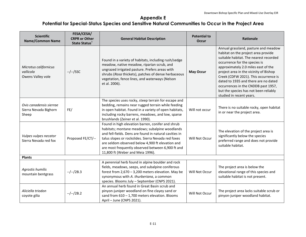| <b>Scientific</b><br><b>Name/Common Name</b>              | FESA/CESA/<br><b>CRPR or Other</b><br><b>State Status</b> * | <b>General Habitat Description</b>                                                                                                                                                                                                                                                                                                                                | <b>Potential to</b><br><b>Occur</b> | Rationale                                                                                                                                                                                                                                                                                                                                                                                                                            |
|-----------------------------------------------------------|-------------------------------------------------------------|-------------------------------------------------------------------------------------------------------------------------------------------------------------------------------------------------------------------------------------------------------------------------------------------------------------------------------------------------------------------|-------------------------------------|--------------------------------------------------------------------------------------------------------------------------------------------------------------------------------------------------------------------------------------------------------------------------------------------------------------------------------------------------------------------------------------------------------------------------------------|
| Microtus californicus<br>vallicola<br>Owens Valley vole   | --/--/SSC                                                   | Found in a variety of habitats, including rush/sedge<br>meadow, native meadow, riparian scrub, and<br>ungrazed irrigated pasture. Prefers areas with<br>shrubs (Rosa thickets), patches of dense herbaceous<br>vegetation, fence lines, and waterways (Nelson<br>et al. 2006).                                                                                    | <b>May Occur</b>                    | Annual grassland, pasture and meadow<br>habitat on the project area provide<br>suitable habitat. The nearest recorded<br>occurrence for the species is<br>approximately 2.0 miles east of the<br>project area in the vicinity of Bishop<br>Creek (CDFW 2021). This occurrence is<br>dated to 1935 and there are no dated<br>occurrences in the CNDDB past 1957,<br>but the species has not been reliably<br>studied in recent years. |
| Ovis canadensis sierrae<br>Sierra Nevada Bighorn<br>Sheep | FE/                                                         | The species uses rocky, steep terrain for escape and<br>bedding, remains near rugged terrain while feeding<br>in open habitat. Found in a variety of open habitats,<br>including rocky barrens, meadows, and low, sparse<br>brushlands (Zeiner et al. 1990).                                                                                                      | Will not occur                      | There is no suitable rocky, open habitat<br>in or near the project area.                                                                                                                                                                                                                                                                                                                                                             |
| Vulpes vulpes necator<br>Sierra Nevada red fox            | Proposed FE/CT/--                                           | Found in high elevation barren, conifer and shrub<br>habitats; montane meadows; subalpine woodlands<br>and fell-fields. Dens are found in natural cavities in<br>talus slopes or rockslides. Sierra Nevada red foxes<br>are seldom observed below 4,900 ft elevation and<br>are most frequently observed between 6,900 ft and<br>11,800 ft (Weber and Meia 1996). | Will Not Occur                      | The elevation of the project area is<br>significantly below the species<br>preferred range and does not provide<br>suitable habitat.                                                                                                                                                                                                                                                                                                 |
| <b>Plants</b>                                             |                                                             |                                                                                                                                                                                                                                                                                                                                                                   |                                     |                                                                                                                                                                                                                                                                                                                                                                                                                                      |
| Agrostis humilis<br>mountain bentgrass                    | $-/-/2B.3$                                                  | A perennial herb found in alpine boulder and rock<br>fields, meadows, seeps, and subalpine coniferous<br>forest from $2,670 - 3,200$ meters elevation. May be<br>synonymous with A. thurberiana, a common<br>species. Blooms July - September (CNPS 2021).                                                                                                        | Will Not Occur                      | The project area is below the<br>elevational range of this species and<br>suitable habitat is not present.                                                                                                                                                                                                                                                                                                                           |
| Aliciella triodon<br>coyote gilia                         | $-/-/2B.2$                                                  | An annual herb found in Great Basin scrub and<br>pinyon-juniper woodland on fine clayey sand or<br>sand from $610 - 1,700$ meters elevation. Blooms<br>April - June (CNPS 2021).                                                                                                                                                                                  | Will Not Occur                      | The project area lacks suitable scrub or<br>pinyon-juniper woodland habitat.                                                                                                                                                                                                                                                                                                                                                         |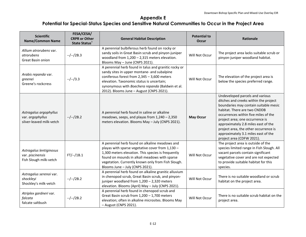| <b>Scientific</b><br><b>Name/Common Name</b>                           | FESA/CESA/<br><b>CRPR or Other</b><br><b>State Status</b> * | <b>General Habitat Description</b>                                                                                                                                                                                                                                                                 | <b>Potential to</b><br>Occur | <b>Rationale</b>                                                                                                                                                                                                                                                                                                                                                                 |
|------------------------------------------------------------------------|-------------------------------------------------------------|----------------------------------------------------------------------------------------------------------------------------------------------------------------------------------------------------------------------------------------------------------------------------------------------------|------------------------------|----------------------------------------------------------------------------------------------------------------------------------------------------------------------------------------------------------------------------------------------------------------------------------------------------------------------------------------------------------------------------------|
| Allium atrorubens var.<br>atrorubens<br>Great Basin onion              | $-/-/2B.3$                                                  | A perennial bulbiferous herb found on rocky or<br>sandy soils in Great Basin scrub and pinyon-juniper<br>woodland from $1,200 - 2,315$ meters elevation.<br>Blooms May - June (CNPS 2021).                                                                                                         | Will Not Occur               | The project area lacks suitable scrub or<br>pinyon-juniper woodland habitat.                                                                                                                                                                                                                                                                                                     |
| Arabis repanda var.<br>greenei<br>Greene's rockcress                   | $-/-/3.3$                                                   | A perennial herb found in talus and granitic rocky or<br>sandy sites in upper montane- and subalpine<br>coniferous forest from $2,345 - 3,600$ meters<br>elevation. Taxonomic status is uncertain;<br>synonymous with Boechera repanda (Baldwin et al.<br>2012). Blooms June - August (CNPS 2021). | Will Not Occur               | The elevation of the project area is<br>below the species preferred range.                                                                                                                                                                                                                                                                                                       |
| Astragalus argophyllus<br>var. argophyllus<br>silver-leaved milk-vetch | $-/-/2B.2$                                                  | A perennial herb found in saline or alkaline<br>meadows, seeps, and playas from $1,240 - 2,350$<br>meters elevation. Blooms May - July (CNPS 2021).                                                                                                                                                | <b>May Occur</b>             | Undeveloped parcels and various<br>ditches and creeks within the project<br>boundaries may contain suitable mesic<br>habitat. There are two CNDDB<br>occurrences within five miles of the<br>project area; one occurrence is<br>approximately 2.8 miles east of the<br>project area, the other occurrence is<br>approximately 3.1 miles east of the<br>project area (CDFW 2021). |
| Astragalus lentiginosus<br>var. piscinensis<br>Fish Slough milk-vetch  | $FT/-/1B.1$                                                 | A perennial herb found on alkaline meadows and<br>playas with sparse vegetative cover from 1,130 -<br>1,300 meters elevation. This species is frequently<br>found on mounds in alkali meadows with sparse<br>vegetation. Currently known only from Fish Slough.<br>Blooms June - July (CNPS 2021). | Will Not Occur               | The project area is outside of the<br>species limited range in Fish Slough. All<br>vacant parcels contain significant<br>vegetative cover and are not expected<br>to provide suitable habitat for this<br>species.                                                                                                                                                               |
| Astragalus serenoi var.<br>shockleyi<br>Shockley's milk-vetch          | $-/-/2B.2$                                                  | A perennial herb found on alkaline granitic alluvium<br>in chenopod scrub, Great Basin scrub, and pinyon-<br>juniper woodland from 1,200 - 2,320 meters<br>elevation. Blooms (April) May - July (CNPS 2021).                                                                                       | Will Not Occur               | There is no suitable woodland or scrub<br>habitat on the project area.                                                                                                                                                                                                                                                                                                           |
| Atriplex gardneri var.<br>falcata<br>falcate saltbush                  | $-/-/2B.2$                                                  | A perennial herb found in chenopod scrub and<br>Great Basin scrub from 1,200 - 1,700 meters<br>elevation; often in alkaline microsites. Blooms May<br>- August (CNPS 2021).                                                                                                                        | Will Not Occur               | There is no suitable scrub habitat on the<br>project area.                                                                                                                                                                                                                                                                                                                       |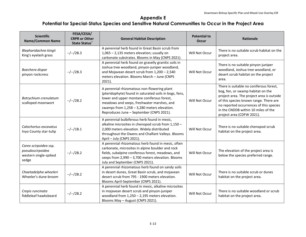| <b>Scientific</b><br><b>Name/Common Name</b>                                | FESA/CESA/<br><b>CRPR or Other</b><br><b>State Status</b> * | <b>General Habitat Description</b>                                                                                                                                                                                                                                                           | <b>Potential to</b><br><b>Occur</b> | <b>Rationale</b>                                                                                                                                                                                                                                                                   |
|-----------------------------------------------------------------------------|-------------------------------------------------------------|----------------------------------------------------------------------------------------------------------------------------------------------------------------------------------------------------------------------------------------------------------------------------------------------|-------------------------------------|------------------------------------------------------------------------------------------------------------------------------------------------------------------------------------------------------------------------------------------------------------------------------------|
| Blepharidachne kingii<br>King's eyelash grass                               | $-/-/2B.3$                                                  | A perennial herb found in Great Basin scrub from<br>1,065 - 2,135 meters elevation; usually on<br>carbonate substrates. Blooms in May (CNPS 2021).                                                                                                                                           | Will Not Occur                      | There is no suitable scrub habitat on the<br>project area.                                                                                                                                                                                                                         |
| Boechera dispar<br>pinyon rockcress                                         | $-/-/2B.3$                                                  | A perennial herb found on gravelly granitic soils in<br>Joshua tree woodland, pinyon-juniper woodland,<br>and Mojavean desert scrub from 1,200 - 2,540<br>meters elevation. Blooms March - June (CNPS<br>2021).                                                                              | Will Not Occur                      | There is no suitable pinyon-juniper<br>woodland, Joshua tree woodland, or<br>desert scrub habitat on the project<br>area.                                                                                                                                                          |
| Botrychium crenulatum<br>scalloped moonwort                                 | $-/-/2B.2$                                                  | A perennial rhizomatous non-flowering plant<br>(pteridophyte) found in saturated soils in bogs, fens,<br>lower and upper montane coniferous forest,<br>meadows and seeps, freshwater marshes, and<br>swamps from 1,258 - 3,280 meters elevation.<br>Reproduces June - September (CNPS 2021). | Will Not Occur                      | There is suitable no coniferous forest,<br>bog, fen, or swamp habitat on the<br>project area. The project area is outside<br>of this species known range. There are<br>no reported occurrences of this species<br>in the CNDDB within 10 miles of the<br>project area (CDFW 2021). |
| Calochortus excavatus<br>Inyo County star-tulip                             | $-/-/1B.1$                                                  | A perennial bulbiferous herb found in mesic,<br>alkaline microsites in chenopod scrub from 1,150 -<br>2,000 meters elevation. Widely distributed<br>throughout the Owens and Chalfant Valleys. Blooms<br>April - July (CNPS 2021).                                                           | Will Not Occur                      | There is no suitable chenopod scrub<br>habitat on the project area.                                                                                                                                                                                                                |
| Carex scirpoidea ssp.<br>pseudoscirpoidea<br>western single-spiked<br>sedge | $-/-/2B.2$                                                  | A perennial rhizomatous herb found in mesic, often<br>carbonate, microsites in alpine boulder and rock<br>fields, subalpine coniferous forest, meadows, and<br>seeps from 2,990 - 3,700 meters elevation. Blooms<br>July and September (CNPS 2021).                                          | Will Not Occur                      | The elevation of the project area is<br>below the species preferred range.                                                                                                                                                                                                         |
| Chaetadelpha wheeleri<br>Wheeler's dune-broom                               | $-/-/2B.2$                                                  | A perennial rhizomatous herb found on sandy soils<br>in desert dunes, Great Basin scrub, and mojavean<br>desert scrub from 795 - 1900 meters elevation.<br>Blooms April-September (CNPS 2021).                                                                                               | Will Not Occur                      | There is no suitable scrub or dunes<br>habitat on the project area.                                                                                                                                                                                                                |
| Crepis runcinata<br>fiddleleaf hawksbeard                                   | $-/-/2B.2$                                                  | A perennial herb found in mesic, alkaline microsites<br>in mojavean desert scrub and pinyon-juniper<br>woodland from $1,250 - 2,195$ meters elevation.<br>Blooms May - August (CNPS 2021).                                                                                                   | Will Not Occur                      | There is no suitable woodland or scrub<br>habitat on the project area.                                                                                                                                                                                                             |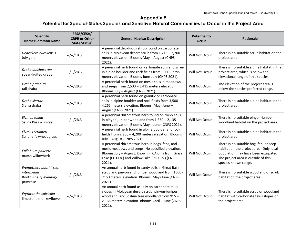| <b>Scientific</b><br><b>Name/Common Name</b>                                | FESA/CESA/<br><b>CRPR or Other</b><br><b>State Status</b> | <b>General Habitat Description</b>                                                                                                                                                                                   | <b>Potential to</b><br>Occur | <b>Rationale</b>                                                                                                                                                                         |
|-----------------------------------------------------------------------------|-----------------------------------------------------------|----------------------------------------------------------------------------------------------------------------------------------------------------------------------------------------------------------------------|------------------------------|------------------------------------------------------------------------------------------------------------------------------------------------------------------------------------------|
| Dedeckera eurekensis<br>July gold                                           | $-/-/1B.3$                                                | A perennial deciduous shrub found on carbonate<br>soils in Mojavean desert scrub from $1,215 - 2,200$<br>meters elevation. Blooms May - August (CNPS<br>2021).                                                       | Will Not Occur               | There is no suitable scrub habitat on the<br>project area.                                                                                                                               |
| Draba lonchocarpa<br>spear-fruited draba                                    | $-/-/2B.3$                                                | A perennial herb found on carbonate soils and scree<br>in alpine boulder and rock fields from 3000 - 3295<br>meters elevation. Blooms June-July (CNPS 2021).                                                         | Will Not Occur               | There is no suitable alpine habitat in the<br>project area, which is below the<br>elevational range of this species.                                                                     |
| Draba praealta<br>tall draba                                                | $-/-/2B.3$                                                | A perennial herb found on mesic soils in meadows<br>and seeps from 2,500 - 3,415 meters elevation.<br>Blooms July - August (CNPS 2021)                                                                               | Will Not Occur               | The elevation of the project area is<br>below the species preferred range.                                                                                                               |
| Draba sierrae<br>Sierra draba                                               | $-/-/1B.3$                                                | A perennial herb found on granitic or carbonate<br>soils in alpine boulder and rock fields from 3,500 -<br>4,265 meters elevation. Blooms (May) June -<br>August (CNPS 2021).                                        | Will Not Occur               | There is no suitable alpine habitat in the<br>project area.                                                                                                                              |
| Elymus salina<br>Salina Pass wild-rye                                       | $-/-/2B.3$                                                | A perennial rhizomatous herb found on rocky soils<br>in pinyon-juniper woodland from $1,350 - 2,135$<br>meters elevation. Blooms May - June (CNPS 2021).                                                             | Will Not Occur               | There is no suitable pinyon-juniper<br>woodland habitat on the project area.                                                                                                             |
| Elymus scribneri<br>Scribner's wheat grass                                  | $-/-/2B.3$                                                | A perennial herb found in alpine boulder and rock<br>fields from 2,900 - 4,200 meters elevation. Blooms<br>July - August (CNPS 2021).                                                                                | Will Not Occur               | There is no suitable alpine habitat in the<br>project area.                                                                                                                              |
| Epilobium palustre<br>marsh willowherb                                      | $-/-/2B.3$                                                | A perennial rhizomatous herb in bogs, fens, and<br>mesic meadows and seeps. No specified elevation.<br>Blooms July - August. Known in CA only from Grass<br>Lake (ELD Co.) and Willow Lake (PLU Co.) (CNPS<br>2021). | Will Not Occur               | There is no suitable bog, fen, or seep<br>habitat on the project area. Only local<br>population may have been extirpated.<br>The project area is outside of this<br>species known range. |
| Eremothera boothii ssp.<br>intermedia<br>Booth's hairy evening-<br>primrose | $-/-/2B.3$                                                | An annual herb found in sandy soils in Great Basin<br>scrub and pinyon and juniper woodland from 1500 -<br>2150 meters elevation. Blooms (May) June (CNPS<br>$2021$ ).                                               | Will Not Occur               | There is no suitable woodland or scrub<br>habitat on the project area.                                                                                                                   |
| Erythranthe calcicola<br>limestone monkeyflower                             | $-/-/1B.3$                                                | An annual herb found usually on carbonate talus<br>slopes in Mojavean desert scrub, pinyon-juniper<br>woodland, and Joshua tree woodland from 915 -<br>2,165 meters elevation. Blooms April - June (CNPS<br>2021).   | Will Not Occur               | There is no suitable scrub or woodland<br>habitat with carbonate talus slopes on<br>the project area.                                                                                    |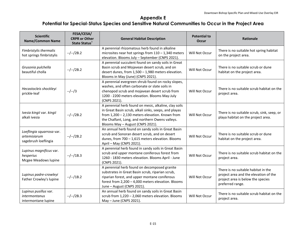| <b>Scientific</b><br><b>Name/Common Name</b>                      | FESA/CESA/<br><b>CRPR or Other</b><br><b>State Status</b> | <b>General Habitat Description</b>                                                                                                                                                                                                                       | <b>Potential to</b><br><b>Occur</b> | Rationale                                                                                                                             |
|-------------------------------------------------------------------|-----------------------------------------------------------|----------------------------------------------------------------------------------------------------------------------------------------------------------------------------------------------------------------------------------------------------------|-------------------------------------|---------------------------------------------------------------------------------------------------------------------------------------|
| Fimbristylis thermalis<br>hot springs fimbristylis                | $-/-/2B.2$                                                | A perennial rhizomatous herb found in alkaline<br>microsites near hot springs from $110 - 1,340$ meters<br>elevation. Blooms July - September (CNPS 2021).                                                                                               | Will Not Occur                      | There is no suitable hot spring habitat<br>on the project area.                                                                       |
| Grusonia pulchella<br>beautiful cholla                            | $-/-/2B.2$                                                | A perennial succulent found on sandy soils in Great<br>Basin scrub and Mojavean desert scrub, and on<br>desert dunes, from 1,500 - 1,980 meters elevation.<br>Blooms in May (June) (CNPS 2021).                                                          | Will Not Occur                      | There is no suitable scrub or dune<br>habitat on the project area.                                                                    |
| Hecastocleis shockleyi<br>prickle-leaf                            | $-/-/3$                                                   | A perennial evergreen shrub found on rocky slopes,<br>washes, and often carbonate or slate soils in<br>chenopod scrub and mojavean desert scrub from<br>1200 - 2200 meters elevation. Blooms May-July<br>(CNPS 2021).                                    | Will Not Occur                      | There is no suitable scrub habitat on the<br>project area.                                                                            |
| Ivesia kingii var. kingii<br>alkali ivesia                        | $-/-/2B.2$                                                | A perennial herb found on mesic, alkaline, clay soils<br>in Great Basin scrub, alkali sinks, seeps, and playas<br>from 1,200 - 2,130 meters elevation. Known from<br>the Chalfant, Long, and northern Owens valleys.<br>Blooms May - August (CNPS 2021). | Will Not Occur                      | There is no suitable scrub, sink, seep, or<br>playa habitat on the project area.                                                      |
| Loeflingia squarrosa var.<br>artemisiarum<br>sagebrush loeflingia | $-/-/2B.2$                                                | An annual herb found on sandy soils in Great Basin<br>scrub and Sonoran desert scrub, and on desert<br>dunes, from 700 - 1,615 meters elevation. Blooms<br>April - May (CNPS 2021).                                                                      | Will Not Occur                      | There is no suitable scrub or dune<br>habitat on the project area.                                                                    |
| Lupinus magnificus var.<br>hesperius<br>Mcgee Meadows lupine      | $-/-/1B.3$                                                | A perennial herb found in sandy soils in Great Basin<br>scrub and upper montane coniferous forest from<br>1260 - 1830 meters elevation. Blooms April - June<br>(CNPS 2021).                                                                              | Will Not Occur                      | There is no suitable scrub habitat on the<br>project area.                                                                            |
| Lupinus padre-crowleyi<br>Father Crowley's lupine                 | $-/-/1B.2$                                                | A perennial herb found on decomposed granite<br>substrates in Great Basin scrub, riparian scrub,<br>riparian forest, and upper montane coniferous<br>forest from 2,200 - 4,000 meters elevation. Blooms<br>June - August (CNPS 2021).                    | Will Not Occur                      | There is no suitable habitat in the<br>project area and the elevation of the<br>project area is below the species<br>preferred range. |
| Lupinus pusillus var.<br>intermontanus<br>intermontane lupine     | $-/-/2B.3$                                                | An annual herb found on sandy soils in Great Basin<br>scrub from 1,220 - 2,060 meters elevation. Blooms<br>May - June (CNPS 2021).                                                                                                                       | Will Not Occur                      | There is no suitable scrub habitat on the<br>project area.                                                                            |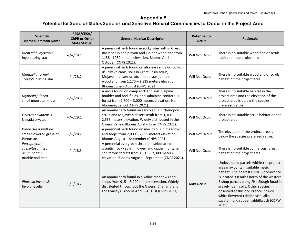| <b>Scientific</b><br><b>Name/Common Name</b>                    | FESA/CESA/<br><b>CRPR or Other</b><br><b>State Status</b> | <b>General Habitat Description</b>                                                                                                                                                                                                       | <b>Potential to</b><br>Occur | <b>Rationale</b>                                                                                                                                                                                                                                                                                                                                                                 |
|-----------------------------------------------------------------|-----------------------------------------------------------|------------------------------------------------------------------------------------------------------------------------------------------------------------------------------------------------------------------------------------------|------------------------------|----------------------------------------------------------------------------------------------------------------------------------------------------------------------------------------------------------------------------------------------------------------------------------------------------------------------------------------------------------------------------------|
| Mentzelia inyoensis<br>Inyo blazing star                        | $-/-/1B.1$                                                | A perennial herb found in rocky sites within Great<br>Basin scrub and pinyon and juniper woodland from<br>1158 - 1980 meters elevation. Blooms April -<br>October (CNPS 2021).                                                           | Will Not Occur               | There is no suitable woodland or scrub<br>habitat on the project area.                                                                                                                                                                                                                                                                                                           |
| Mentzelia torreyi<br>Torrey's blazing star                      | $-/-/2B.2$                                                | A perennial herb found on alkaline sandy or rocky,<br>usually volcanic, soils in Great Basin scrub,<br>Mojavean desert scrub, and pinyon-juniper<br>woodland from $1,170 - 2,835$ meters elevation.<br>Blooms June - August (CNPS 2021). | Will Not Occur               | There is no suitable woodland or scrub<br>habitat on the project area.                                                                                                                                                                                                                                                                                                           |
| Myurella julacea<br>small mousetail moss                        | $-/-/2B.3$                                                | A moss found on damp rock and soil in alpine<br>boulder and rock fields, and subalpine coniferous<br>forest from 2,700 - 3,000 meters elevation. No<br>blooming period (CNPS 2021).                                                      | Will Not Occur               | There is no suitable habitat in the<br>project area and the elevation of the<br>project area is below the species<br>preferred range.                                                                                                                                                                                                                                            |
| Oryctes nevadensis<br>Nevada oryctes                            | $-/-/2B.1$                                                | An annual herb found on sandy soils in chenopod<br>scrub and Mojavean desert scrub from 1,100 -<br>2,535 meters elevation. Widely distributed in the<br>Owens Valley. Blooms April - June (CNPS 2021).                                   | Will Not Occur               | There is no suitable scrub habitat on the<br>project area.                                                                                                                                                                                                                                                                                                                       |
| Parnassia parviflora<br>small-flowered grass-of-<br>Parnassus   | $-/-/2B.2$                                                | A perennial herb found on mesic soils in meadows<br>and seeps from $2,000 - 2,855$ meters elevation.<br>Blooms August - September (CNPS 2021).                                                                                           | Will Not Occur               | The elevation of the project area is<br>below the species preferred range.                                                                                                                                                                                                                                                                                                       |
| Petrophytum<br>caespitosum ssp.<br>acuminatum<br>marble rockmat | $-/-/1B.3$                                                | A perennial evergreen shrub on carbonate or<br>granitic, rocky soils in lower- and upper montane<br>coniferous forests from $1,015 - 2,300$ meters<br>elevation. Blooms August - September (CNPS 2021).                                  | Will Not Occur               | There is no suitable coniferous forest<br>habitat on the project area.                                                                                                                                                                                                                                                                                                           |
| Phacelia inyoensis<br>Inyo phacelia                             | $-/-/1B.2$                                                | An annual herb found in alkaline meadows and<br>seeps from 915 - 3,200 meters elevation. Widely<br>distributed throughout the Owens, Chalfant, and<br>Long valleys. Blooms April - August (CNPS 2021).                                   | <b>May Occur</b>             | Undeveloped parcels within the project<br>area may contain suitable mesic<br>habitat. The nearest CNDDB occurrence<br>is located 3.8 miles north of the western<br>Bishop parcels along Fish Slough Road in<br>gravely loam soils. Other species<br>observed at this occurrence include<br>white flowered rabbitbrush, alkali<br>sacaton, and rubber rabbitbrush (CDFW<br>2021). |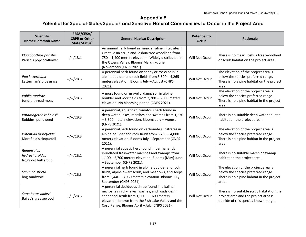| <b>Scientific</b><br><b>Name/Common Name</b>         | FESA/CESA/<br><b>CRPR or Other</b><br><b>State Status</b> * | <b>General Habitat Description</b>                                                                                                                                                                                                                     | <b>Potential to</b><br>Occur | <b>Rationale</b>                                                                                                                 |
|------------------------------------------------------|-------------------------------------------------------------|--------------------------------------------------------------------------------------------------------------------------------------------------------------------------------------------------------------------------------------------------------|------------------------------|----------------------------------------------------------------------------------------------------------------------------------|
| Plagiobothrys parishii<br>Parish's popcornflower     | $-/-/1B.1$                                                  | An annual herb found in mesic alkaline microsites in<br>Great Basin scrub and Joshua tree woodland from<br>750 - 1,400 meters elevation. Widely distributed in<br>the Owens Valley. Blooms March - June<br>(November) (CNPS 2021).                     | Will Not Occur               | There is no mesic Joshua tree woodland<br>or scrub habitat on the project area.                                                  |
| Poa lettermanii<br>Letterman's blue grass            | $-/-/2B.3$                                                  | A perennial herb found on sandy or rocky soils in<br>alpine boulder and rock fields from 3,500 - 4,265<br>meters elevation. Blooms July - August (CNPS<br>$2021$ ).                                                                                    | Will Not Occur               | The elevation of the project area is<br>below the species preferred range.<br>There is no alpine habitat on the project<br>area. |
| Pohlia tundrae<br>tundra thread moss                 | $-/-/2B.3$                                                  | A moss found on gravelly, damp soil in alpine<br>boulder and rock fields from 2,700 - 3,000 meters<br>elevation. No blooming period (CNPS 2021).                                                                                                       | Will Not Occur               | The elevation of the project area is<br>below the species preferred range.<br>There is no alpine habitat in the project<br>area. |
| Potamogeton robbinsii<br>Robbins' pondweed           | $-/-/2B.3$                                                  | A perennial, aquatic rhizomatous herb found in<br>deep water, lakes, marshes and swamps from 1,530<br>- 3,300 meters elevation. Blooms July - August<br>(CNPS 2021).                                                                                   | Will Not Occur               | There is no suitable deep water aquatic<br>habitat on the project area.                                                          |
| Potentilla morefieldii<br>Morefield's cinquefoil     | $-/-/1B.3$                                                  | A perennial herb found on carbonate substrates in<br>alpine boulder and rock fields from $3,265 - 4,000$<br>meters elevation. Blooms July - September (CNPS<br>$2021$ ).                                                                               | Will Not Occur               | The elevation of the project area is<br>below the species preferred range.<br>There is no alpine habitat in the project<br>area. |
| Ranunculus<br>hydrocharoides<br>frog's-bit buttercup | $-/-/2B.1$                                                  | A perennial aquatic herb found in permanently<br>inundated freshwater marshes and swamps from<br>1,100 - 2,700 meters elevation. Blooms (May) June<br>- September (CNPS 2021).                                                                         | Will Not Occur               | There is no suitable marsh or swamp<br>habitat on the project area.                                                              |
| Sabulina stricta<br>bog sandwort                     | $-/-/2B.3$                                                  | A perennial herb found in alpine boulder and rock<br>fields, alpine dwarf scrub, and meadows, and seeps<br>from 2,440 - 3,960 meters elevation. Blooms July -<br>September (CNPS 2021).                                                                | Will Not Occur               | The elevation of the project area is<br>below the species preferred range.<br>There is no alpine habitat in the project<br>area. |
| Sarcobatus baileyi<br>Bailey's greasewood            | $-/-/2B.3$                                                  | A perennial deciduous shrub found in alkaline<br>microsites in dry lakes, washes, and roadsides in<br>chenopod scrub from $1,500 - 1,600$ meters<br>elevation. Known from the Fish Lake Valley and the<br>Coso Range. Blooms April - July (CNPS 2021). | Will Not Occur               | There is no suitable scrub habitat on the<br>project area and the project area is<br>outside of this species known range.        |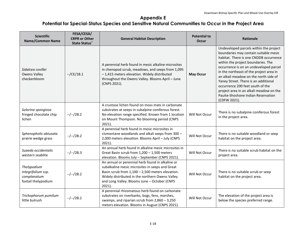| <b>Scientific</b><br><b>Name/Common Name</b>                            | FESA/CESA/<br><b>CRPR or Other</b><br><b>State Status</b> * | <b>General Habitat Description</b>                                                                                                                                                                                                                                      | <b>Potential to</b><br><b>Occur</b> | <b>Rationale</b>                                                                                                                                                                                                                                                                                                                                                                                                                                                           |
|-------------------------------------------------------------------------|-------------------------------------------------------------|-------------------------------------------------------------------------------------------------------------------------------------------------------------------------------------------------------------------------------------------------------------------------|-------------------------------------|----------------------------------------------------------------------------------------------------------------------------------------------------------------------------------------------------------------------------------------------------------------------------------------------------------------------------------------------------------------------------------------------------------------------------------------------------------------------------|
| Sidalcea covillei<br><b>Owens Valley</b><br>checkerbloom                | $-$ /CE/1B.1                                                | A perennial herb found in mesic alkaline microsites<br>in chenopod scrub, meadows, and seeps from 1,095<br>-1,415 meters elevation. Widely distributed<br>throughout the Owens Valley. Blooms April - June<br>(CNPS 2021).                                              | <b>May Occur</b>                    | Undeveloped parcels within the project<br>boundaries may contain suitable mesic<br>habitat. There is one CNDDB occurrence<br>within the project boundaries. The<br>occurrence is on an undeveloped parcel<br>in the northeast of the project area in<br>an alkali meadow on the north side of<br>Yaney Street. There is an additional<br>occurrence 200 feet south of the<br>project area in an alkali meadow on the<br>Pauite-Shoshone Indian Reservation<br>(CDFW 2021). |
| Solorina spongiosa<br>fringed chocolate chip<br>lichen                  | $-/-/2B.2$                                                  | A crustose lichen found on moss mats in carbonate<br>substrates at seeps in subalpine coniferous forest.<br>No elevation range specified. Known from 1 location<br>on Mount Thompson. No blooming period (CNPS<br>2021).                                                | Will Not Occur                      | There is no subalpine coniferous forest<br>in the project area.                                                                                                                                                                                                                                                                                                                                                                                                            |
| Sphenopholis obtusata<br>prairie wedge grass                            | $-/-/2B.2$                                                  | A perennial herb found in mesic microsites in<br>cismontane woodlands and alkali seeps from 300 -<br>2,000 meters elevation. Blooms April - July (CNPS<br>$2021$ ).                                                                                                     | Will Not Occur                      | There is no suitable woodland or seep<br>habitat on the project area.                                                                                                                                                                                                                                                                                                                                                                                                      |
| Suaeda occidentalis<br>western seablite                                 | $-/-/2B.3$                                                  | An annual herb found in alkaline mesic microsites in<br>Great Basin scrub from $1,200 - 1,500$ meters<br>elevation. Blooms July - September (CNPS 2021).                                                                                                                | Will Not Occur                      | There is no suitable scrub habitat on the<br>project area.                                                                                                                                                                                                                                                                                                                                                                                                                 |
| Thelypodium<br>integrifolium ssp.<br>complanatum<br>foxtail thelypodium | $-/-/2B.2$                                                  | An annual or perennial herb found in alkaline or<br>subalkaline mesic microsites in seeps and Great<br>Basin scrub from 1,100 - 2,500 meters elevation.<br>Widely distributed in the northern Owens Valley<br>and Long Valley. Blooms June - October (CNPS<br>$2021$ ). | Will Not Occur                      | There is no suitable scrub or seep<br>habitat on the project area.                                                                                                                                                                                                                                                                                                                                                                                                         |
| Trichophorum pumilum<br>little bulrush                                  | $-/-/2B.2$                                                  | A perennial rhizomatous herb found on carbonate<br>substrates on riverbanks, bogs, fens, marshes,<br>swamps, and riparian scrub from 2,860 - 3,250<br>meters elevation. Blooms in August (CNPS 2021).                                                                   | Will Not Occur                      | The elevation of the project area is<br>below the species preferred range.                                                                                                                                                                                                                                                                                                                                                                                                 |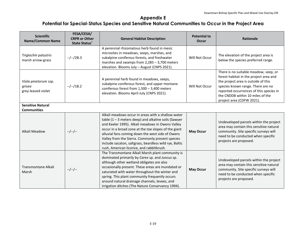| <b>Scientific</b><br><b>Name/Common Name</b>         | FESA/CESA/<br><b>CRPR or Other</b><br><b>State Status</b> * | <b>General Habitat Description</b>                                                                                                                                                                                                                                                                                                                                                                                                      | <b>Potential to</b><br><b>Occur</b> | <b>Rationale</b>                                                                                                                                                                                                                                                        |
|------------------------------------------------------|-------------------------------------------------------------|-----------------------------------------------------------------------------------------------------------------------------------------------------------------------------------------------------------------------------------------------------------------------------------------------------------------------------------------------------------------------------------------------------------------------------------------|-------------------------------------|-------------------------------------------------------------------------------------------------------------------------------------------------------------------------------------------------------------------------------------------------------------------------|
| Triglochin palustris<br>marsh arrow-grass            | $-/-/2B.3$                                                  | A perennial rhizomatous herb found in mesic<br>microsites in meadows, seeps, marshes, and<br>subalpine coniferous forests, and freshwater<br>marshes and swamps from $2,285 - 3,700$ meters<br>elevation. Blooms July - August (CNPS 2021).                                                                                                                                                                                             | Will Not Occur                      | The elevation of the project area is<br>below the species preferred range.                                                                                                                                                                                              |
| Viola pinetorum ssp.<br>grisea<br>grey-leaved violet | $-/-/1B.2$                                                  | A perennial herb found in meadows, seeps,<br>subalpine coniferous forest, and upper montane<br>coniferous forest from $1,500 - 3,400$ meters<br>elevation. Blooms April-July (CNPS 2021).                                                                                                                                                                                                                                               | Will Not Occur                      | There is no suitable meadow, seep, or<br>forest habitat in the project area and<br>the project area is outside of this<br>species known range. There are no<br>reported occurrences of this species in<br>the CNDDB within 10 miles of the<br>project area (CDFW 2021). |
| <b>Sensitive Natural</b><br><b>Communities</b>       |                                                             |                                                                                                                                                                                                                                                                                                                                                                                                                                         |                                     |                                                                                                                                                                                                                                                                         |
| Alkali Meadow                                        | $-/-/-/-.$                                                  | Alkali meadows occur in areas with a shallow water<br>table $(1 - 3$ meters deep) and alkaline soils (Sawyer<br>and Keeler 1995). Alkali meadows in Owens Valley<br>occur in a broad zone at the toe slopes of the giant<br>alluvial fans coming down the west side of Owens<br>Valley from the Sierra. Commonly present species<br>include sacaton, saltgrass, beardless wild rye, Baltic<br>rush, American licorice, and rabbitbrush. | <b>May Occur</b>                    | Undeveloped parcels within the project<br>area may contain this sensitive natural<br>community. Site specific surveys will<br>need to be conducted when specific<br>projects are proposed.                                                                              |
| Transmontane Alkali<br>Marsh                         | $-/-/-/-.$                                                  | The Transmontane Alkali Marsh plant community is<br>dominated primarily by Carex sp. and Juncus sp.<br>although other wetland obligates are also<br>occasionally present. These areas are inundated or<br>saturated with water throughout the winter and<br>spring. This plant community frequently occurs<br>around natural drainage channels, levees, and<br>irrigation ditches (The Nature Conservancy 1994).                        | <b>May Occur</b>                    | Undeveloped parcels within the project<br>area may contain this sensitive natural<br>community. Site specific surveys will<br>need to be conducted when specific<br>projects are proposed.                                                                              |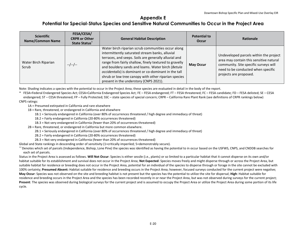| <b>Scientific</b><br>Name/Common Name | FESA/CESA/<br><b>CRPR or Other</b><br>State Status <sup>*</sup> | <b>General Habitat Description</b>                                                                                                                                                                                                                                                                                                                                                                                                      | <b>Potential to</b><br><b>Occur</b> | Rationale                                                                                                                                                                                  |
|---------------------------------------|-----------------------------------------------------------------|-----------------------------------------------------------------------------------------------------------------------------------------------------------------------------------------------------------------------------------------------------------------------------------------------------------------------------------------------------------------------------------------------------------------------------------------|-------------------------------------|--------------------------------------------------------------------------------------------------------------------------------------------------------------------------------------------|
| Water Birch Riparian<br>Scrub         | $-/-/-$                                                         | Water birch riparian scrub communities occur along<br>intermittently saturated stream banks, alluvial<br>terraces, and seeps. Soils are generally alluvial and<br>range from fairly shallow, finely textured to gravelly<br>and bouldery sands and loams. Water birch (Betula<br>occidentalis) is dominant or co-dominant in the tall<br>shrub or low tree canopy with other riparian species<br>present in the understory (CNPS 2021). | <b>May Occur</b>                    | Undeveloped parcels within the project<br>area may contain this sensitive natural<br>community. Site specific surveys will<br>need to be conducted when specific<br>projects are proposed. |

Note: Shading indicates a species with the potential to occur in the Project Area; these species are evaluated in detail in the body of the report.

\* FESA=Federal Endangered Species Act; CESA=California Endangered Species Act; FE – FESA endangered; FT – FESA threatened; FC – FESA candidate; FD – FESA delisted; SE – CESA endangered; ST – CESA threatened; FP – Fully Protected; SSC – state species of special concern; CRPR – California Rare Plant Rank (see definitions of CRPR rankings below) CNPS ratings:

1A = Presumed extirpated in California and rare elsewhere

1B = Rare, threatened, or endangered in California and elsewhere

1B.1 = Seriously endangered in California (over 80% of occurrences threatened / high degree and immediacy of threat)

1B.2 = Fairly endangered in California (20-80% occurrences threatened)

1B.3 = Not very endangered in California (fewer than 20% of occurrences threatened)

2B = Rare, threatened, or endangered in California but more common elsewhere.

2B.1 = Seriously endangered in California (over 80% of occurrences threatened / high degree and immediacy of threat)

2B.2 = Fairly endangered in California (20-80% occurrences threatened)

2B.3 = Not very endangered in California (fewer than 20% of occurrences threatened)

Global and State rankings in descending order of sensitivity (1=critically imperiled; 5=demonstrably secure).

\*\*Denotes which set of parcels (Independence, Bishop, Lone Pine) the species was identified as having the potential to in occur based on the USFWS, CNPS, and CNDDB searches for each set of parcels.

Status in the Project Area is assessed as follows. **Will Not Occur**: Species is either sessile (i.e., plants) or so limited to a particular habitat that it cannot disperse on its own and/or habitat suitable for its establishment and survival does not occur in the Project Area; **Not Expected**: Species moves freely and might disperse through or across the Project Area, but suitable habitat for residence or breeding does not occur in the Project Area, potential for an individual of the species to disperse through or forage in the site cannot be excluded with 100% certainty; **Presumed Absent:** Habitat suitable for residence and breeding occurs in the Project Area; however, focused surveys conducted for the current project were negative; **May Occur**: Species was not observed on the site and breeding habitat is not present but the species has the potential to utilize the site for dispersal; **High**: Habitat suitable for residence and breeding occurs in the Project Area and the species has been recorded recently in or near the Project Area, but was not observed during surveys for the current project; **Present**: The species was observed during biological surveys for the current project and is assumed to occupy the Project Area or utilize the Project Area during some portion of its life cycle.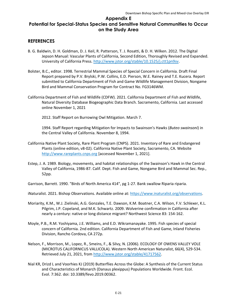#### **REFERENCES**

- B. G. Baldwin, D. H. Goldman, D. J. Keil, R. Patterson, T. J. Rosatti, & D. H. Wilken. 2012. The Digital Jepson Manual: Vascular Plants of California, Second Edition, Thoroughly Revised and Expanded. University of California Press. http://www.jstor.org/stable/10.1525/j.ctt1pn9sv.
- Bolster, B.C., editor. 1998. Terrestrial Mammal Species of Special Concern in California. Draft Final Report prepared by P.V. Brylski, P.W. Collins, E.D. Pierson, W.E. Rainey and T.E. Kucera. Report submitted to California Department of Fish and Game Wildlife Management Division, Nongame Bird and Mammal Conservation Program for Contract No. FG3146WM.
- California Department of Fish and Wildlife (CDFW). 2021. California Department of Fish and Wildlife, Natural Diversity Database Biogeographic Data Branch. Sacramento, California. Last accessed online November 1, 2021
	- 2012. Staff Report on Burrowing Owl Mitigation. March 7.

1994. Staff Report regarding Mitigation for Impacts to Swainson's Hawks (*Buteo swainsoni*) in the Central Valley of California. November 8, 1994.

- California Native Plant Society, Rare Plant Program (CNPS). 2021. Inventory of Rare and Endangered Plants (online edition, v8-02). California Native Plant Society, Sacramento, CA. Website http://www.rareplants.cnps.org [accessed November 1, 2021].
- Estep, J. A. 1989. Biology, movements, and habitat relationships of the Swainson's Hawk in the Central Valley of California, 1986-87. Calif. Dept. Fish and Game, Nongame Bird and Mammal Sec. Rep., 52pp.

Garrison, Barrett. 1990. "Birds of North America 414", pg 1-27. Bank swallow Riparia riparia.

iNaturalist. 2021. Bishop Observations. Available online at: https://www.inaturalist.org/observations.

- Moriarity, K.M., W.J. Zielinski, A.G. Gonzales, T.E. Dawson, K.M. Boatner, C.A. Wilson, F.V. Schlexer, K.L. Pilgrim, J.P. Copeland, and M.K. Schwartz. 2009. Wolverine confirmation in California after nearly a century: native or long distance migrant? Northwest Science 83: 154-162.
- Moyle, P.B., R.M. Yoshiyama, J.E. Williams, and E.D. Wikramanayake. 1995. Fish species of special concern of California. 2nd edition. California Department of Fish and Game, Inland Fisheries Division, Rancho Cordova, CA 272p.
- Nelson, F., Morrison, M., Lopez, R., Smeins, F., & Silvy, N. (2006). ECOLOGY OF OWENS VALLEY VOLE (MICROTUS CALIFORNICUS VALLICOLA). Western North American Naturalist, 66(4), 529-534. Retrieved July 21, 2021, from http://www.jstor.org/stable/41717562.
- Nial KR, Drizd L and Voorhies KJ (2019) Butterflies Across the Globe: A Synthesis of the Current Status and Characteristics of Monarch (Danaus plexippus) Populations Worldwide. Front. Ecol. Evol. 7:362. doi: 10.3389/fevo.2019.00362.